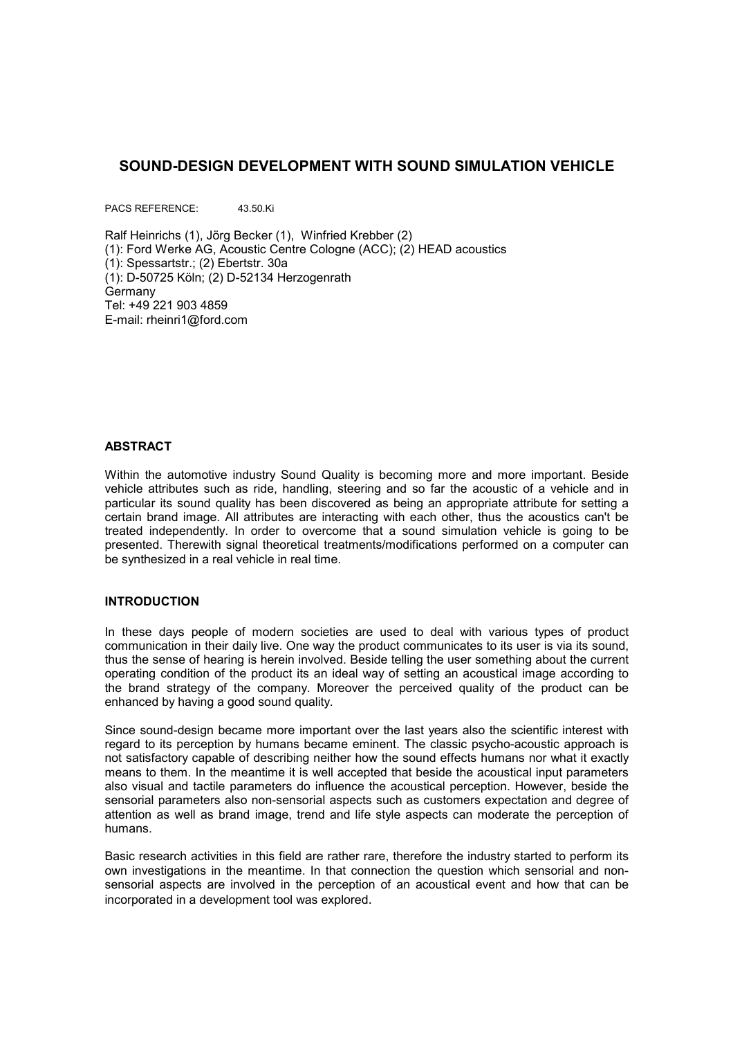# **SOUND-DESIGN DEVELOPMENT WITH SOUND SIMULATION VEHICLE**

PACS REFERENCE: 43.50.Ki

Ralf Heinrichs (1), Jörg Becker (1), Winfried Krebber (2) (1): Ford Werke AG, Acoustic Centre Cologne (ACC); (2) HEAD acoustics (1): Spessartstr.; (2) Ebertstr. 30a (1): D-50725 Köln; (2) D-52134 Herzogenrath **Germany** Tel: +49 221 903 4859 E-mail: rheinri1@ford.com

#### **ABSTRACT**

Within the automotive industry Sound Quality is becoming more and more important. Beside vehicle attributes such as ride, handling, steering and so far the acoustic of a vehicle and in particular its sound quality has been discovered as being an appropriate attribute for setting a certain brand image. All attributes are interacting with each other, thus the acoustics can't be treated independently. In order to overcome that a sound simulation vehicle is going to be presented. Therewith signal theoretical treatments/modifications performed on a computer can be synthesized in a real vehicle in real time.

#### **INTRODUCTION**

In these days people of modern societies are used to deal with various types of product communication in their daily live. One way the product communicates to its user is via its sound, thus the sense of hearing is herein involved. Beside telling the user something about the current operating condition of the product its an ideal way of setting an acoustical image according to the brand strategy of the company. Moreover the perceived quality of the product can be enhanced by having a good sound quality.

Since sound-design became more important over the last years also the scientific interest with regard to its perception by humans became eminent. The classic psycho-acoustic approach is not satisfactory capable of describing neither how the sound effects humans nor what it exactly means to them. In the meantime it is well accepted that beside the acoustical input parameters also visual and tactile parameters do influence the acoustical perception. However, beside the sensorial parameters also non-sensorial aspects such as customers expectation and degree of attention as well as brand image, trend and life style aspects can moderate the perception of humans.

Basic research activities in this field are rather rare, therefore the industry started to perform its own investigations in the meantime. In that connection the question which sensorial and nonsensorial aspects are involved in the perception of an acoustical event and how that can be incorporated in a development tool was explored.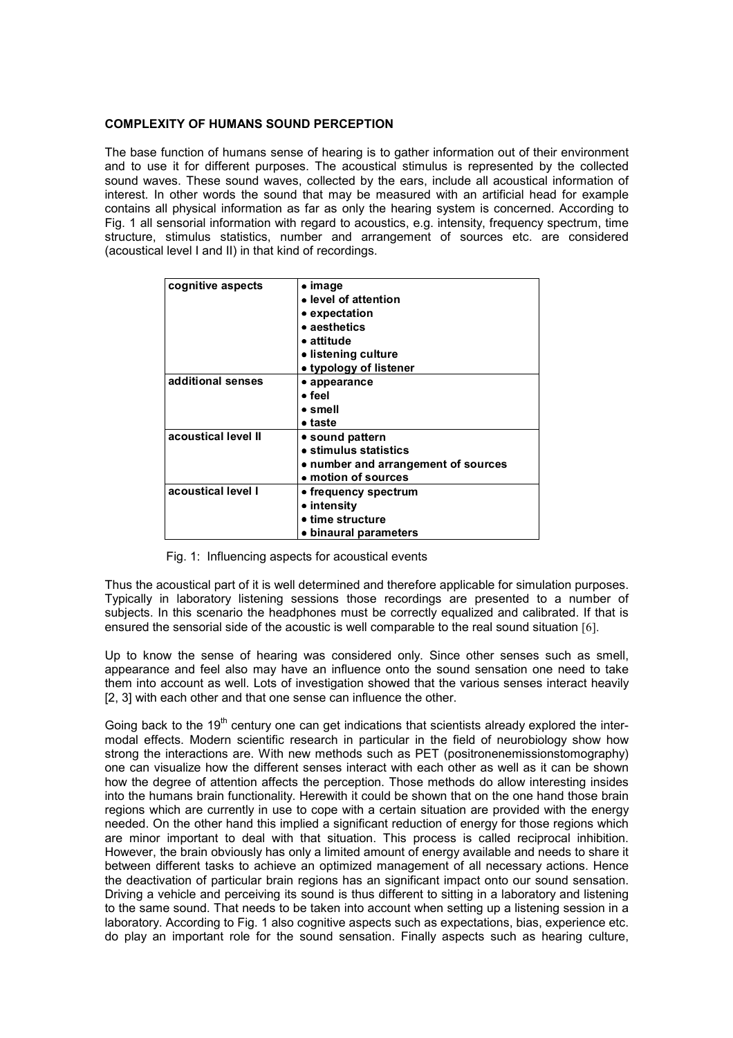#### **COMPLEXITY OF HUMANS SOUND PERCEPTION**

The base function of humans sense of hearing is to gather information out of their environment and to use it for different purposes. The acoustical stimulus is represented by the collected sound waves. These sound waves, collected by the ears, include all acoustical information of interest. In other words the sound that may be measured with an artificial head for example contains all physical information as far as only the hearing system is concerned. According to Fig. 1 all sensorial information with regard to acoustics, e.g. intensity, frequency spectrum, time structure, stimulus statistics, number and arrangement of sources etc. are considered (acoustical level I and II) in that kind of recordings.

| cognitive aspects   | $\bullet$ image<br>• level of attention<br>• expectation<br>• aesthetics<br>$\bullet$ attitude |
|---------------------|------------------------------------------------------------------------------------------------|
|                     | • listening culture                                                                            |
|                     | • typology of listener                                                                         |
| additional senses   | $\bullet$ appearance                                                                           |
|                     | $\bullet$ feel                                                                                 |
|                     | $\bullet$ smell                                                                                |
|                     | $\bullet$ taste                                                                                |
| acoustical level II | • sound pattern                                                                                |
|                     | • stimulus statistics                                                                          |
|                     | • number and arrangement of sources                                                            |
|                     | • motion of sources                                                                            |
| acoustical level I  | • frequency spectrum                                                                           |
|                     | • intensity                                                                                    |
|                     | • time structure                                                                               |
|                     | • binaural parameters                                                                          |

Fig. 1: Influencing aspects for acoustical events

Thus the acoustical part of it is well determined and therefore applicable for simulation purposes. Typically in laboratory listening sessions those recordings are presented to a number of subjects. In this scenario the headphones must be correctly equalized and calibrated. If that is ensured the sensorial side of the acoustic is well comparable to the real sound situation [6].

Up to know the sense of hearing was considered only. Since other senses such as smell, appearance and feel also may have an influence onto the sound sensation one need to take them into account as well. Lots of investigation showed that the various senses interact heavily [2, 3] with each other and that one sense can influence the other.

Going back to the  $19<sup>th</sup>$  century one can get indications that scientists already explored the intermodal effects. Modern scientific research in particular in the field of neurobiology show how strong the interactions are. With new methods such as PET (positronenemissionstomography) one can visualize how the different senses interact with each other as well as it can be shown how the degree of attention affects the perception. Those methods do allow interesting insides into the humans brain functionality. Herewith it could be shown that on the one hand those brain regions which are currently in use to cope with a certain situation are provided with the energy needed. On the other hand this implied a significant reduction of energy for those regions which are minor important to deal with that situation. This process is called reciprocal inhibition. However, the brain obviously has only a limited amount of energy available and needs to share it between different tasks to achieve an optimized management of all necessary actions. Hence the deactivation of particular brain regions has an significant impact onto our sound sensation. Driving a vehicle and perceiving its sound is thus different to sitting in a laboratory and listening to the same sound. That needs to be taken into account when setting up a listening session in a laboratory. According to Fig. 1 also cognitive aspects such as expectations, bias, experience etc. do play an important role for the sound sensation. Finally aspects such as hearing culture,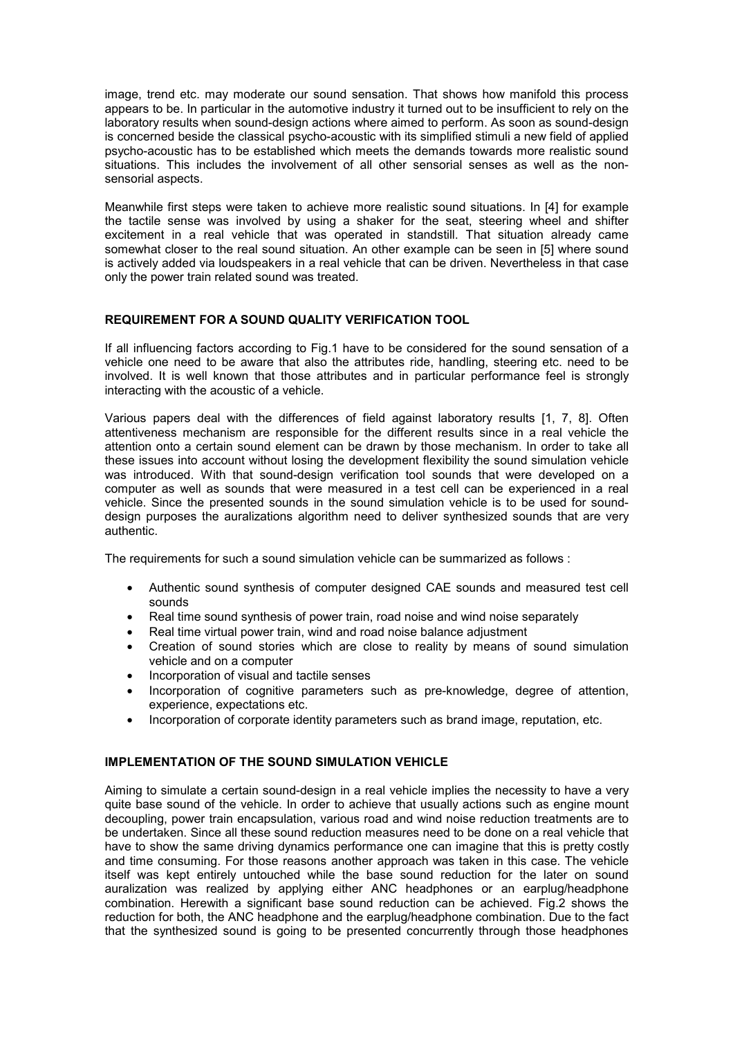image, trend etc. may moderate our sound sensation. That shows how manifold this process appears to be. In particular in the automotive industry it turned out to be insufficient to rely on the laboratory results when sound-design actions where aimed to perform. As soon as sound-design is concerned beside the classical psycho-acoustic with its simplified stimuli a new field of applied psycho-acoustic has to be established which meets the demands towards more realistic sound situations. This includes the involvement of all other sensorial senses as well as the nonsensorial aspects.

Meanwhile first steps were taken to achieve more realistic sound situations. In [4] for example the tactile sense was involved by using a shaker for the seat, steering wheel and shifter excitement in a real vehicle that was operated in standstill. That situation already came somewhat closer to the real sound situation. An other example can be seen in [5] where sound is actively added via loudspeakers in a real vehicle that can be driven. Nevertheless in that case only the power train related sound was treated.

## **REQUIREMENT FOR A SOUND QUALITY VERIFICATION TOOL**

If all influencing factors according to Fig.1 have to be considered for the sound sensation of a vehicle one need to be aware that also the attributes ride, handling, steering etc. need to be involved. It is well known that those attributes and in particular performance feel is strongly interacting with the acoustic of a vehicle.

Various papers deal with the differences of field against laboratory results [1, 7, 8]. Often attentiveness mechanism are responsible for the different results since in a real vehicle the attention onto a certain sound element can be drawn by those mechanism. In order to take all these issues into account without losing the development flexibility the sound simulation vehicle was introduced. With that sound-design verification tool sounds that were developed on a computer as well as sounds that were measured in a test cell can be experienced in a real vehicle. Since the presented sounds in the sound simulation vehicle is to be used for sounddesign purposes the auralizations algorithm need to deliver synthesized sounds that are very authentic.

The requirements for such a sound simulation vehicle can be summarized as follows :

- Authentic sound synthesis of computer designed CAE sounds and measured test cell sounds
- Real time sound synthesis of power train, road noise and wind noise separately
- Real time virtual power train, wind and road noise balance adjustment
- Creation of sound stories which are close to reality by means of sound simulation vehicle and on a computer
- Incorporation of visual and tactile senses
- Incorporation of cognitive parameters such as pre-knowledge, degree of attention, experience, expectations etc.
- Incorporation of corporate identity parameters such as brand image, reputation, etc.

## **IMPLEMENTATION OF THE SOUND SIMULATION VEHICLE**

Aiming to simulate a certain sound-design in a real vehicle implies the necessity to have a very quite base sound of the vehicle. In order to achieve that usually actions such as engine mount decoupling, power train encapsulation, various road and wind noise reduction treatments are to be undertaken. Since all these sound reduction measures need to be done on a real vehicle that have to show the same driving dynamics performance one can imagine that this is pretty costly and time consuming. For those reasons another approach was taken in this case. The vehicle itself was kept entirely untouched while the base sound reduction for the later on sound auralization was realized by applying either ANC headphones or an earplug/headphone combination. Herewith a significant base sound reduction can be achieved. Fig.2 shows the reduction for both, the ANC headphone and the earplug/headphone combination. Due to the fact that the synthesized sound is going to be presented concurrently through those headphones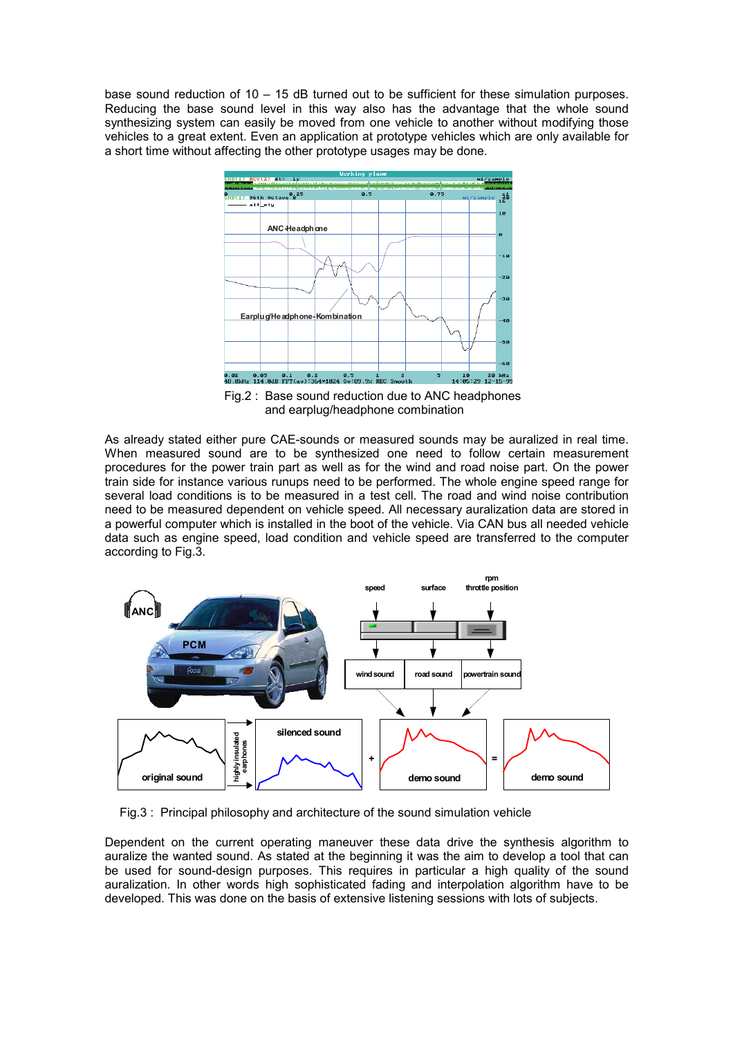base sound reduction of 10 – 15 dB turned out to be sufficient for these simulation purposes. Reducing the base sound level in this way also has the advantage that the whole sound synthesizing system can easily be moved from one vehicle to another without modifying those vehicles to a great extent. Even an application at prototype vehicles which are only available for a short time without affecting the other prototype usages may be done.



 Fig.2 : Base sound reduction due to ANC headphones and earplug/headphone combination

As already stated either pure CAE-sounds or measured sounds may be auralized in real time. When measured sound are to be synthesized one need to follow certain measurement procedures for the power train part as well as for the wind and road noise part. On the power train side for instance various runups need to be performed. The whole engine speed range for several load conditions is to be measured in a test cell. The road and wind noise contribution need to be measured dependent on vehicle speed. All necessary auralization data are stored in a powerful computer which is installed in the boot of the vehicle. Via CAN bus all needed vehicle data such as engine speed, load condition and vehicle speed are transferred to the computer according to Fig.3.



Fig.3 : Principal philosophy and architecture of the sound simulation vehicle

Dependent on the current operating maneuver these data drive the synthesis algorithm to auralize the wanted sound. As stated at the beginning it was the aim to develop a tool that can be used for sound-design purposes. This requires in particular a high quality of the sound auralization. In other words high sophisticated fading and interpolation algorithm have to be developed. This was done on the basis of extensive listening sessions with lots of subjects.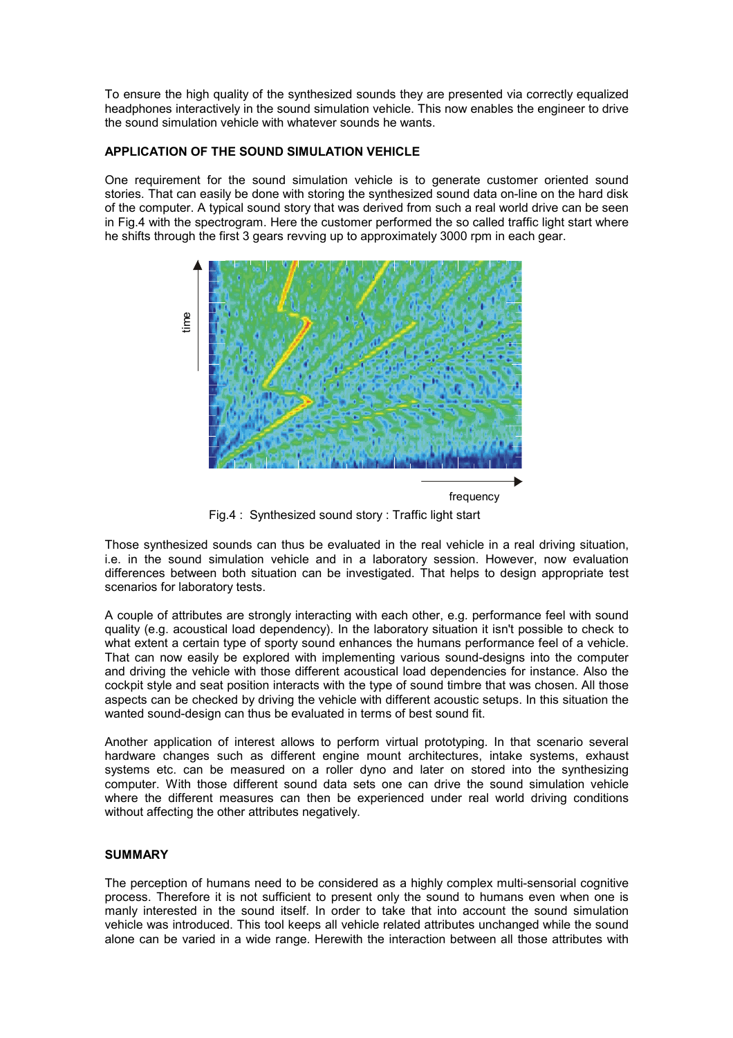To ensure the high quality of the synthesized sounds they are presented via correctly equalized headphones interactively in the sound simulation vehicle. This now enables the engineer to drive the sound simulation vehicle with whatever sounds he wants.

## **APPLICATION OF THE SOUND SIMULATION VEHICLE**

One requirement for the sound simulation vehicle is to generate customer oriented sound stories. That can easily be done with storing the synthesized sound data on-line on the hard disk of the computer. A typical sound story that was derived from such a real world drive can be seen in Fig.4 with the spectrogram. Here the customer performed the so called traffic light start where he shifts through the first 3 gears revving up to approximately 3000 rpm in each gear.



Fig.4 : Synthesized sound story : Traffic light start

Those synthesized sounds can thus be evaluated in the real vehicle in a real driving situation, i.e. in the sound simulation vehicle and in a laboratory session. However, now evaluation differences between both situation can be investigated. That helps to design appropriate test scenarios for laboratory tests.

A couple of attributes are strongly interacting with each other, e.g. performance feel with sound quality (e.g. acoustical load dependency). In the laboratory situation it isn't possible to check to what extent a certain type of sporty sound enhances the humans performance feel of a vehicle. That can now easily be explored with implementing various sound-designs into the computer and driving the vehicle with those different acoustical load dependencies for instance. Also the cockpit style and seat position interacts with the type of sound timbre that was chosen. All those aspects can be checked by driving the vehicle with different acoustic setups. In this situation the wanted sound-design can thus be evaluated in terms of best sound fit.

Another application of interest allows to perform virtual prototyping. In that scenario several hardware changes such as different engine mount architectures, intake systems, exhaust systems etc. can be measured on a roller dyno and later on stored into the synthesizing computer. With those different sound data sets one can drive the sound simulation vehicle where the different measures can then be experienced under real world driving conditions without affecting the other attributes negatively.

#### **SUMMARY**

The perception of humans need to be considered as a highly complex multi-sensorial cognitive process. Therefore it is not sufficient to present only the sound to humans even when one is manly interested in the sound itself. In order to take that into account the sound simulation vehicle was introduced. This tool keeps all vehicle related attributes unchanged while the sound alone can be varied in a wide range. Herewith the interaction between all those attributes with